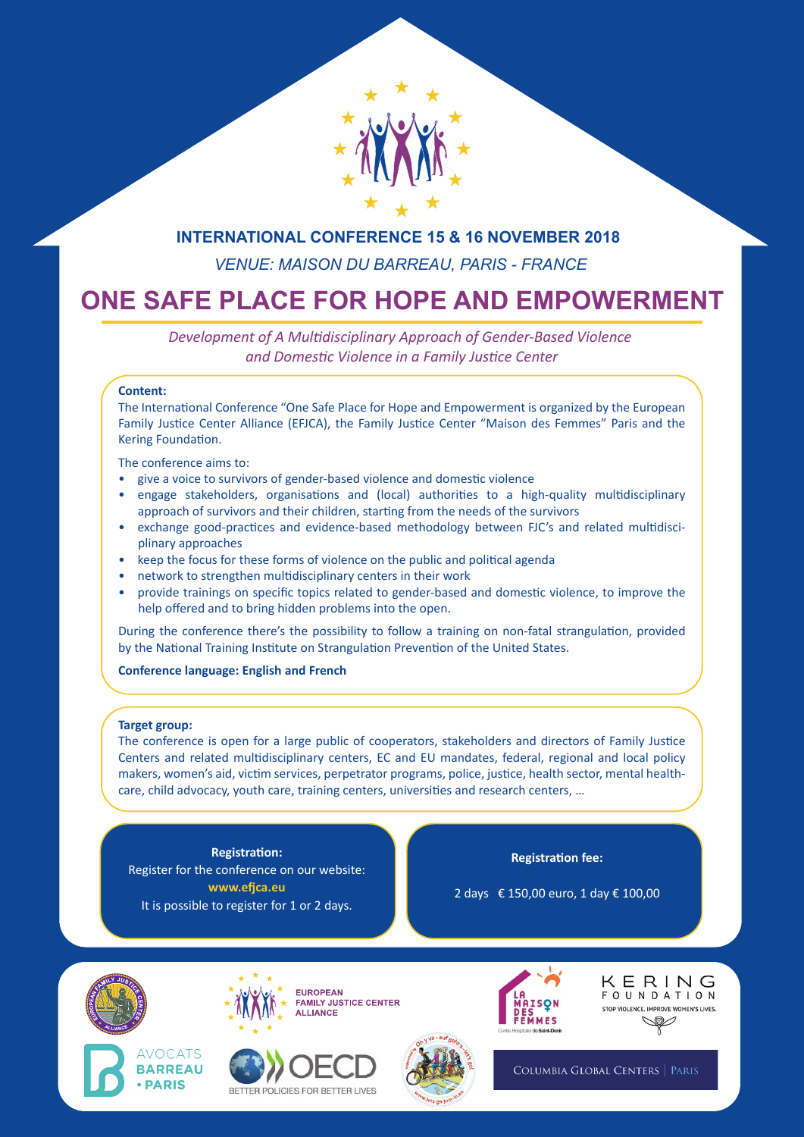

# **INTERNATIONAL CONFERENCE 15 & 16 NOVEMBER 2018**

*VENUE: MAISON DU BARREAU, PARIS - FRANCE*

# **ONE SAFE PLACE FOR HOPE AND EMPOWERMENT**

*Development of A Multidisciplinary Approach of Gender-Based Violence and Domestic Violence in a Family Justice Center*

## **Content:**

The International Conference "One Safe Place for Hope and Empowerment is organized by the European Family Justice Center Alliance (EFJCA), the Family Justice Center "Maison des Femmes" Paris and the Kering Foundation.

The conference aims to:

- give a voice to survivors of gender-based violence and domestic violence
- engage stakeholders, organisations and (local) authorities to a high-quality multidisciplinary approach of survivors and their children, starting from the needs of the survivors
- exchange good-practices and evidence-based methodology between FJC's and related multidisciplinary approaches
- keep the focus for these forms of violence on the public and political agenda
- network to strengthen multidisciplinary centers in their work
- provide trainings on specific topics related to gender-based and domestic violence, to improve the help offered and to bring hidden problems into the open.

During the conference there's the possibility to follow a training on non-fatal strangulation, provided by the National Training Institute on Strangulation Prevention of the United States.

## **Conference language: English and French**

## **Target group:**

The conference is open for a large public of cooperators, stakeholders and directors of Family Justice Centers and related multidisciplinary centers, EC and EU mandates, federal, regional and local policy makers, women's aid, victim services, perpetrator programs, police, justice, health sector, mental healthcare, child advocacy, youth care, training centers, universities and research centers, …

**Registration:** Register for the conference on our website: **www.efjca.eu** It is possible to register for 1 or 2 days.

**Registration fee:**

2 days € 150,00 euro, 1 day € 100,00









KERING **FOUNDATION** STOP VIOLENCE, IMPROVE WOMEN'S LIVES. Š

COLUMBIA GLOBAL CENTERS | PARIS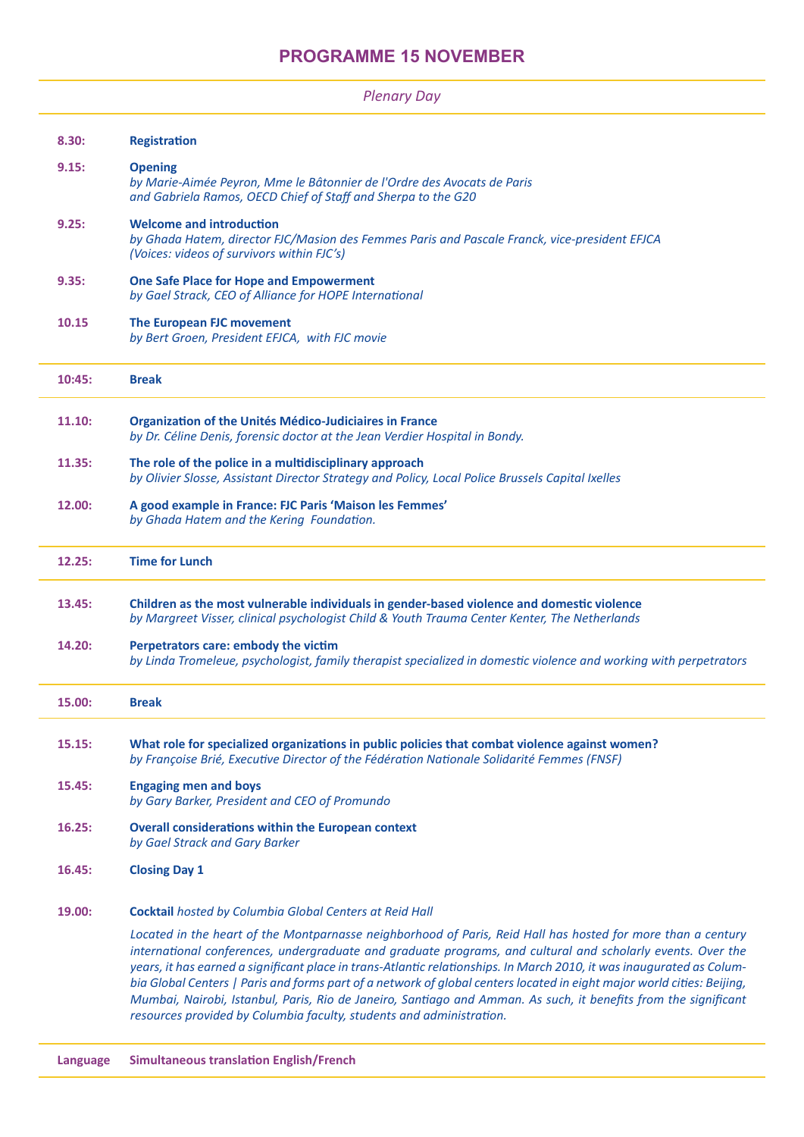| <b>Plenary Day</b> |
|--------------------|
|--------------------|

| 8.30:  | <b>Registration</b>                                                                                                                                                                                                                                                                                                                                                                                                                                                                                                                                                                                                                                                       |
|--------|---------------------------------------------------------------------------------------------------------------------------------------------------------------------------------------------------------------------------------------------------------------------------------------------------------------------------------------------------------------------------------------------------------------------------------------------------------------------------------------------------------------------------------------------------------------------------------------------------------------------------------------------------------------------------|
| 9.15:  | <b>Opening</b><br>by Marie-Aimée Peyron, Mme le Bâtonnier de l'Ordre des Avocats de Paris<br>and Gabriela Ramos, OECD Chief of Staff and Sherpa to the G20                                                                                                                                                                                                                                                                                                                                                                                                                                                                                                                |
| 9.25:  | <b>Welcome and introduction</b><br>by Ghada Hatem, director FJC/Masion des Femmes Paris and Pascale Franck, vice-president EFJCA<br>(Voices: videos of survivors within FJC's)                                                                                                                                                                                                                                                                                                                                                                                                                                                                                            |
| 9.35:  | <b>One Safe Place for Hope and Empowerment</b><br>by Gael Strack, CEO of Alliance for HOPE International                                                                                                                                                                                                                                                                                                                                                                                                                                                                                                                                                                  |
| 10.15  | The European FJC movement<br>by Bert Groen, President EFJCA, with FJC movie                                                                                                                                                                                                                                                                                                                                                                                                                                                                                                                                                                                               |
| 10:45: | <b>Break</b>                                                                                                                                                                                                                                                                                                                                                                                                                                                                                                                                                                                                                                                              |
| 11.10: | <b>Organization of the Unités Médico-Judiciaires in France</b><br>by Dr. Céline Denis, forensic doctor at the Jean Verdier Hospital in Bondy.                                                                                                                                                                                                                                                                                                                                                                                                                                                                                                                             |
| 11.35: | The role of the police in a multidisciplinary approach<br>by Olivier Slosse, Assistant Director Strategy and Policy, Local Police Brussels Capital Ixelles                                                                                                                                                                                                                                                                                                                                                                                                                                                                                                                |
| 12.00: | A good example in France: FJC Paris 'Maison les Femmes'<br>by Ghada Hatem and the Kering Foundation.                                                                                                                                                                                                                                                                                                                                                                                                                                                                                                                                                                      |
| 12.25: | <b>Time for Lunch</b>                                                                                                                                                                                                                                                                                                                                                                                                                                                                                                                                                                                                                                                     |
| 13.45: | Children as the most vulnerable individuals in gender-based violence and domestic violence<br>by Margreet Visser, clinical psychologist Child & Youth Trauma Center Kenter, The Netherlands                                                                                                                                                                                                                                                                                                                                                                                                                                                                               |
| 14.20: | Perpetrators care: embody the victim<br>by Linda Tromeleue, psychologist, family therapist specialized in domestic violence and working with perpetrators                                                                                                                                                                                                                                                                                                                                                                                                                                                                                                                 |
| 15.00: | <b>Break</b>                                                                                                                                                                                                                                                                                                                                                                                                                                                                                                                                                                                                                                                              |
| 15.15: | What role for specialized organizations in public policies that combat violence against women?<br>by Françoise Brié, Executive Director of the Fédération Nationale Solidarité Femmes (FNSF)                                                                                                                                                                                                                                                                                                                                                                                                                                                                              |
| 15.45: | <b>Engaging men and boys</b><br>by Gary Barker, President and CEO of Promundo                                                                                                                                                                                                                                                                                                                                                                                                                                                                                                                                                                                             |
| 16.25: | <b>Overall considerations within the European context</b><br>by Gael Strack and Gary Barker                                                                                                                                                                                                                                                                                                                                                                                                                                                                                                                                                                               |
| 16.45: | <b>Closing Day 1</b>                                                                                                                                                                                                                                                                                                                                                                                                                                                                                                                                                                                                                                                      |
| 19.00: | Cocktail hosted by Columbia Global Centers at Reid Hall                                                                                                                                                                                                                                                                                                                                                                                                                                                                                                                                                                                                                   |
|        | Located in the heart of the Montparnasse neighborhood of Paris, Reid Hall has hosted for more than a century<br>international conferences, undergraduate and graduate programs, and cultural and scholarly events. Over the<br>years, it has earned a significant place in trans-Atlantic relationships. In March 2010, it was inaugurated as Colum-<br>bia Global Centers   Paris and forms part of a network of global centers located in eight major world cities: Beijing,<br>Mumbai, Nairobi, Istanbul, Paris, Rio de Janeiro, Santiago and Amman. As such, it benefits from the significant<br>resources provided by Columbia faculty, students and administration. |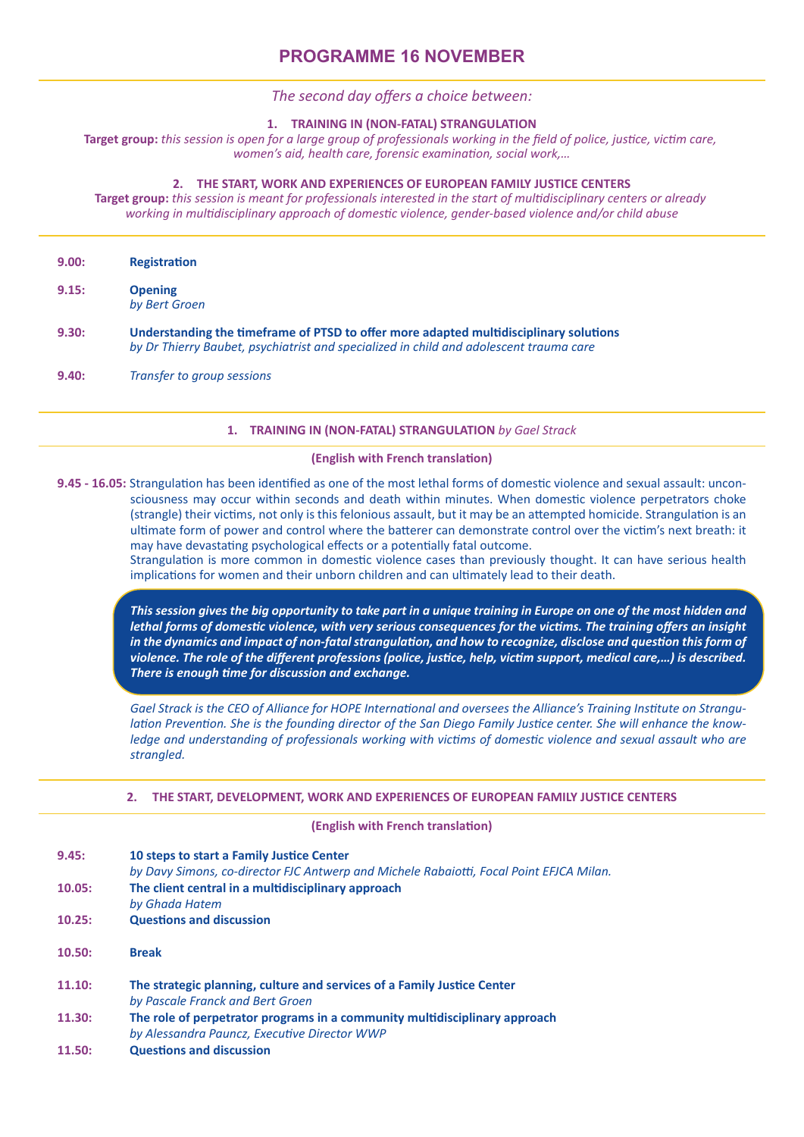## *The second day offers a choice between:*

### **1. TRAINING IN (NON-FATAL) STRANGULATION**

**Target group:** *this session is open for a large group of professionals working in the field of police, justice, victim care, women's aid, health care, forensic examination, social work,…*

## **2. THE START, WORK AND EXPERIENCES OF EUROPEAN FAMILY JUSTICE CENTERS**

**Target group:** *this session is meant for professionals interested in the start of multidisciplinary centers or already working in multidisciplinary approach of domestic violence, gender-based violence and/or child abuse*

| 9.00: | <b>Registration</b>                                                                                                                                                             |
|-------|---------------------------------------------------------------------------------------------------------------------------------------------------------------------------------|
| 9.15: | <b>Opening</b><br>by Bert Groen                                                                                                                                                 |
| 9.30: | Understanding the timeframe of PTSD to offer more adapted multidisciplinary solutions<br>by Dr Thierry Baubet, psychiatrist and specialized in child and adolescent trauma care |
| 9.40: | Transfer to group sessions                                                                                                                                                      |

## **1. TRAINING IN (NON-FATAL) STRANGULATION** *by Gael Strack*

#### **(English with French translation)**

**9.45 - 16.05:** Strangulation has been identified as one of the most lethal forms of domestic violence and sexual assault: unconsciousness may occur within seconds and death within minutes. When domestic violence perpetrators choke (strangle) their victims, not only is this felonious assault, but it may be an attempted homicide. Strangulation is an ultimate form of power and control where the batterer can demonstrate control over the victim's next breath: it may have devastating psychological effects or a potentially fatal outcome.

Strangulation is more common in domestic violence cases than previously thought. It can have serious health implications for women and their unborn children and can ultimately lead to their death.

*This session gives the big opportunity to take part in a unique training in Europe on one of the most hidden and lethal forms of domestic violence, with very serious consequences for the victims. The training offers an insight in the dynamics and impact of non-fatal strangulation, and how to recognize, disclose and question this form of violence. The role of the different professions (police, justice, help, victim support, medical care,…) is described. There is enough time for discussion and exchange.*

*Gael Strack is the CEO of Alliance for HOPE International and oversees the Alliance's Training Institute on Strangulation Prevention. She is the founding director of the San Diego Family Justice center. She will enhance the knowledge and understanding of professionals working with victims of domestic violence and sexual assault who are strangled.* 

#### **2. THE START, DEVELOPMENT, WORK AND EXPERIENCES OF EUROPEAN FAMILY JUSTICE CENTERS**

#### **(English with French translation)**

| 9.45: | 10 steps to start a Family Justice Center                                               |
|-------|-----------------------------------------------------------------------------------------|
|       | by Davy Simons, co-director FJC Antwerp and Michele Rabaiotti, Focal Point EFJCA Milan. |

**10.05: The client central in a multidisciplinary approach**

 *by Ghada Hatem*

- **10.25: Questions and discussion**
- **10.50: Break**

- **11.10: The strategic planning, culture and services of a Family Justice Center** *by Pascale Franck and Bert Groen* **11.30: The role of perpetrator programs in a community multidisciplinary approach**
- *by Alessandra Pauncz, Executive Director WWP*
- **11.50: Questions and discussion**